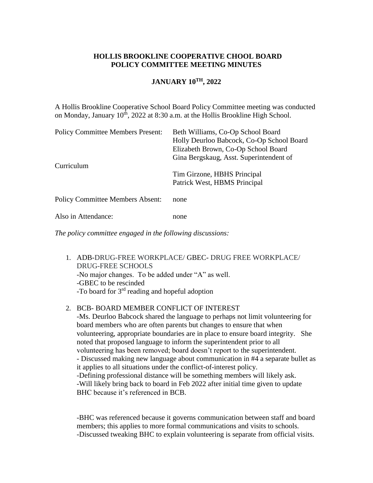## **HOLLIS BROOKLINE COOPERATIVE CHOOL BOARD POLICY COMMITTEE MEETING MINUTES**

## **JANUARY 10TH, 2022**

A Hollis Brookline Cooperative School Board Policy Committee meeting was conducted on Monday, January  $10^{th}$ , 2022 at 8:30 a.m. at the Hollis Brookline High School.

| <b>Policy Committee Members Present:</b><br>Curriculum | Beth Williams, Co-Op School Board<br>Holly Deurloo Babcock, Co-Op School Board<br>Elizabeth Brown, Co-Op School Board<br>Gina Bergskaug, Asst. Superintendent of |
|--------------------------------------------------------|------------------------------------------------------------------------------------------------------------------------------------------------------------------|
|                                                        | Tim Girzone, HBHS Principal<br>Patrick West, HBMS Principal                                                                                                      |
| <b>Policy Committee Members Absent:</b>                | none                                                                                                                                                             |
| Also in Attendance:                                    | none                                                                                                                                                             |

*The policy committee engaged in the following discussions:*

1. ADB-DRUG-FREE WORKPLACE/ GBEC- DRUG FREE WORKPLACE/ DRUG-FREE SCHOOLS -No major changes. To be added under "A" as well. -GBEC to be rescinded -To board for 3rd reading and hopeful adoption

## 2. BCB- BOARD MEMBER CONFLICT OF INTEREST

-Ms. Deurloo Babcock shared the language to perhaps not limit volunteering for board members who are often parents but changes to ensure that when volunteering, appropriate boundaries are in place to ensure board integrity. She noted that proposed language to inform the superintendent prior to all volunteering has been removed; board doesn't report to the superintendent. - Discussed making new language about communication in #4 a separate bullet as it applies to all situations under the conflict-of-interest policy. -Defining professional distance will be something members will likely ask. -Will likely bring back to board in Feb 2022 after initial time given to update BHC because it's referenced in BCB.

-BHC was referenced because it governs communication between staff and board members; this applies to more formal communications and visits to schools. -Discussed tweaking BHC to explain volunteering is separate from official visits.